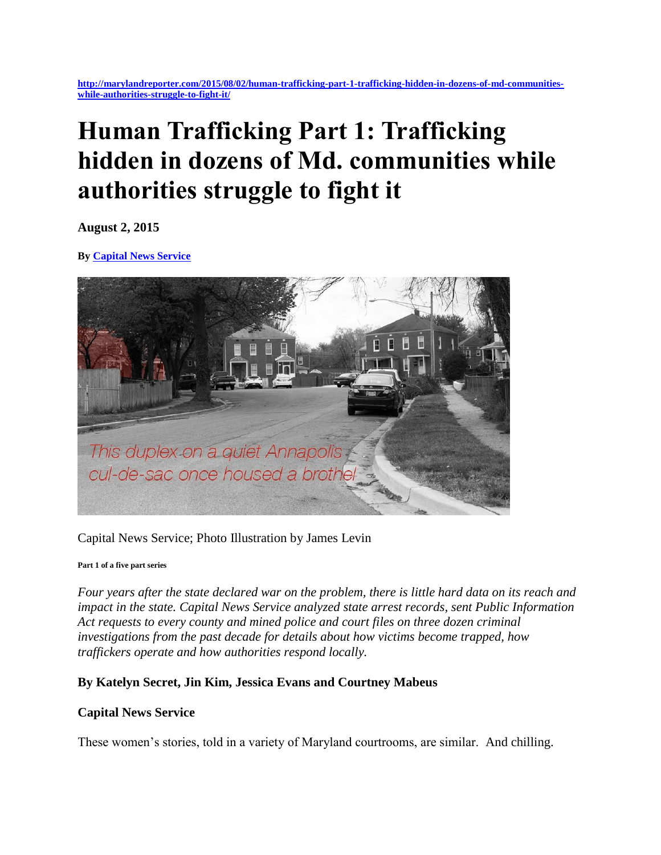**[http://marylandreporter.com/2015/08/02/human-trafficking-part-1-trafficking-hidden-in-dozens-of-md-communities](http://marylandreporter.com/2015/08/02/human-trafficking-part-1-trafficking-hidden-in-dozens-of-md-communities-while-authorities-struggle-to-fight-it/)[while-authorities-struggle-to-fight-it/](http://marylandreporter.com/2015/08/02/human-trafficking-part-1-trafficking-hidden-in-dozens-of-md-communities-while-authorities-struggle-to-fight-it/)**

# **Human Trafficking Part 1: Trafficking hidden in dozens of Md. communities while authorities struggle to fight it**

**August 2, 2015**

**By [Capital News Service](http://marylandreporter.com/author/capital-news-service/)**



Capital News Service; Photo Illustration by James Levin

#### **Part 1 of a five part series**

*Four years after the state declared war on the problem, there is little hard data on its reach and impact in the state. Capital News Service analyzed state arrest records, sent Public Information Act requests to every county and mined police and court files on three dozen criminal investigations from the past decade for details about how victims become trapped, how traffickers operate and how authorities respond locally.*

### **By Katelyn Secret, Jin Kim, Jessica Evans and Courtney Mabeus**

### **Capital News Service**

These women's stories, told in a variety of Maryland courtrooms, are similar. And chilling.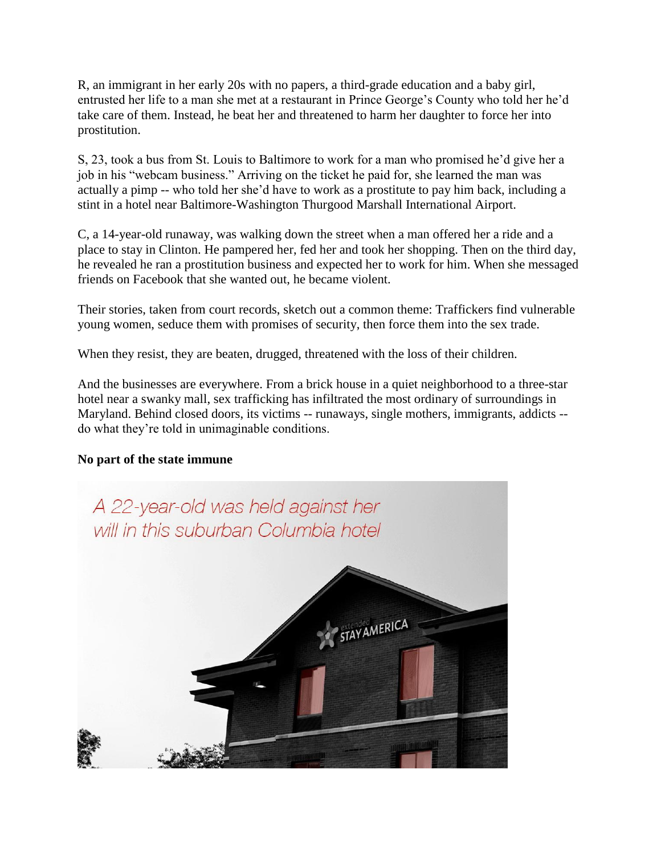R, an immigrant in her early 20s with no papers, a third-grade education and a baby girl, entrusted her life to a man she met at a restaurant in Prince George's County who told her he'd take care of them. Instead, he beat her and threatened to harm her daughter to force her into prostitution.

S, 23, took a bus from St. Louis to Baltimore to work for a man who promised he'd give her a job in his "webcam business." Arriving on the ticket he paid for, she learned the man was actually a pimp -- who told her she'd have to work as a prostitute to pay him back, including a stint in a hotel near Baltimore-Washington Thurgood Marshall International Airport.

C, a 14-year-old runaway, was walking down the street when a man offered her a ride and a place to stay in Clinton. He pampered her, fed her and took her shopping. Then on the third day, he revealed he ran a prostitution business and expected her to work for him. When she messaged friends on Facebook that she wanted out, he became violent.

Their stories, taken from court records, sketch out a common theme: Traffickers find vulnerable young women, seduce them with promises of security, then force them into the sex trade.

When they resist, they are beaten, drugged, threatened with the loss of their children.

And the businesses are everywhere. From a brick house in a quiet neighborhood to a three-star hotel near a swanky mall, sex trafficking has infiltrated the most ordinary of surroundings in Maryland. Behind closed doors, its victims -- runaways, single mothers, immigrants, addicts - do what they're told in unimaginable conditions.

## **No part of the state immune**

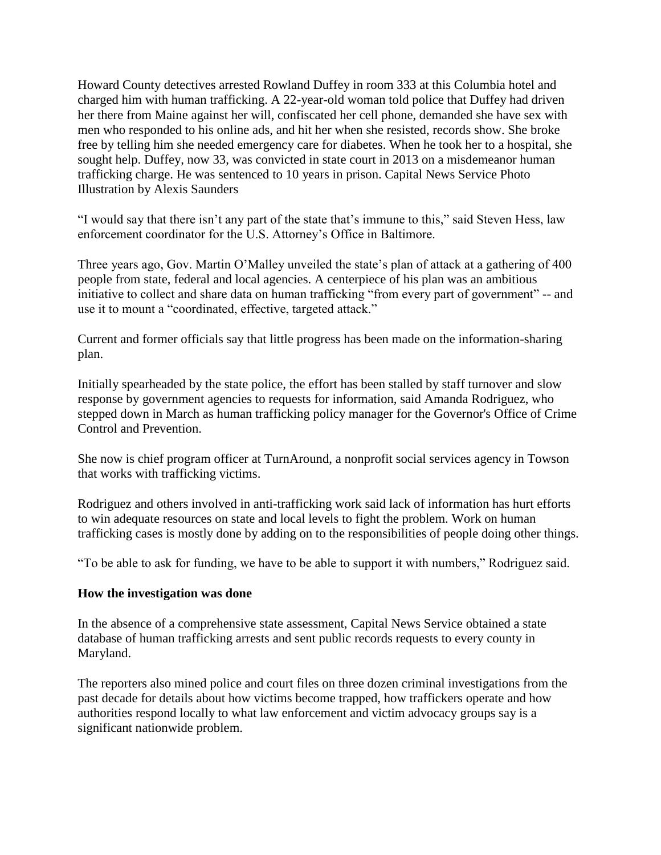Howard County detectives arrested Rowland Duffey in room 333 at this Columbia hotel and charged him with human trafficking. A 22-year-old woman told police that Duffey had driven her there from Maine against her will, confiscated her cell phone, demanded she have sex with men who responded to his online ads, and hit her when she resisted, records show. She broke free by telling him she needed emergency care for diabetes. When he took her to a hospital, she sought help. Duffey, now 33, was convicted in state court in 2013 on a misdemeanor human trafficking charge. He was sentenced to 10 years in prison. Capital News Service Photo Illustration by Alexis Saunders

"I would say that there isn't any part of the state that's immune to this," said Steven Hess, law enforcement coordinator for the U.S. Attorney's Office in Baltimore.

Three years ago, Gov. Martin O'Malley unveiled the state's plan of attack at a gathering of 400 people from state, federal and local agencies. A centerpiece of his plan was an ambitious initiative to collect and share data on human trafficking "from every part of government" -- and use it to mount a "coordinated, effective, targeted attack."

Current and former officials say that little progress has been made on the information-sharing plan.

Initially spearheaded by the state police, the effort has been stalled by staff turnover and slow response by government agencies to requests for information, said Amanda Rodriguez, who stepped down in March as human trafficking policy manager for the Governor's Office of Crime Control and Prevention.

She now is chief program officer at TurnAround, a nonprofit social services agency in Towson that works with trafficking victims.

Rodriguez and others involved in anti-trafficking work said lack of information has hurt efforts to win adequate resources on state and local levels to fight the problem. Work on human trafficking cases is mostly done by adding on to the responsibilities of people doing other things.

"To be able to ask for funding, we have to be able to support it with numbers," Rodriguez said.

### **How the investigation was done**

In the absence of a comprehensive state assessment, Capital News Service obtained a state database of human trafficking arrests and sent public records requests to every county in Maryland.

The reporters also mined police and court files on three dozen criminal investigations from the past decade for details about how victims become trapped, how traffickers operate and how authorities respond locally to what law enforcement and victim advocacy groups say is a significant nationwide problem.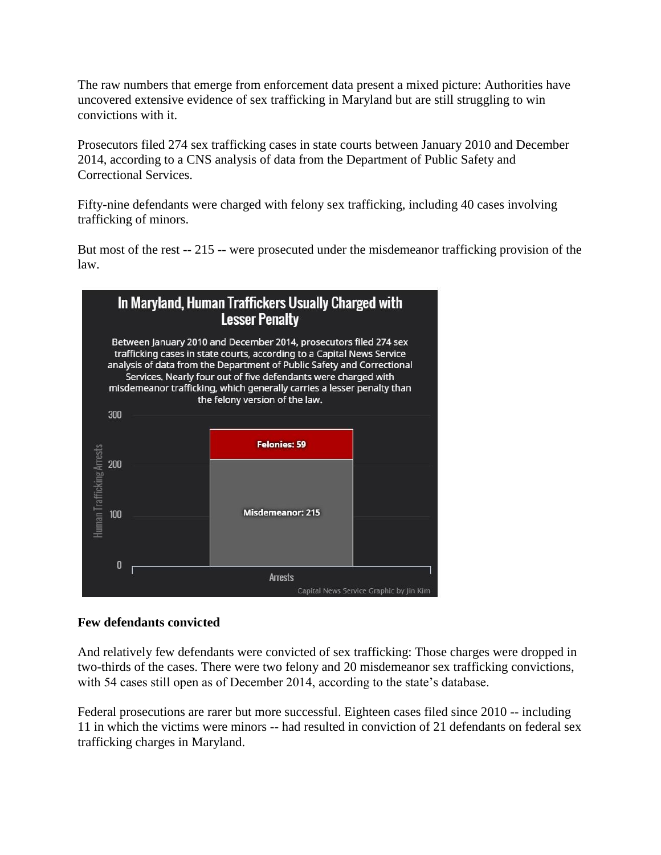The raw numbers that emerge from enforcement data present a mixed picture: Authorities have uncovered extensive evidence of sex trafficking in Maryland but are still struggling to win convictions with it.

Prosecutors filed 274 sex trafficking cases in state courts between January 2010 and December 2014, according to a CNS analysis of data from the Department of Public Safety and Correctional Services.

Fifty-nine defendants were charged with felony sex trafficking, including 40 cases involving trafficking of minors.

But most of the rest -- 215 -- were prosecuted under the misdemeanor trafficking provision of the law.



## **Few defendants convicted**

And relatively few defendants were convicted of sex trafficking: Those charges were dropped in two-thirds of the cases. There were two felony and 20 misdemeanor sex trafficking convictions, with 54 cases still open as of December 2014, according to the state's database.

Federal prosecutions are rarer but more successful. Eighteen cases filed since 2010 -- including 11 in which the victims were minors -- had resulted in conviction of 21 defendants on federal sex trafficking charges in Maryland.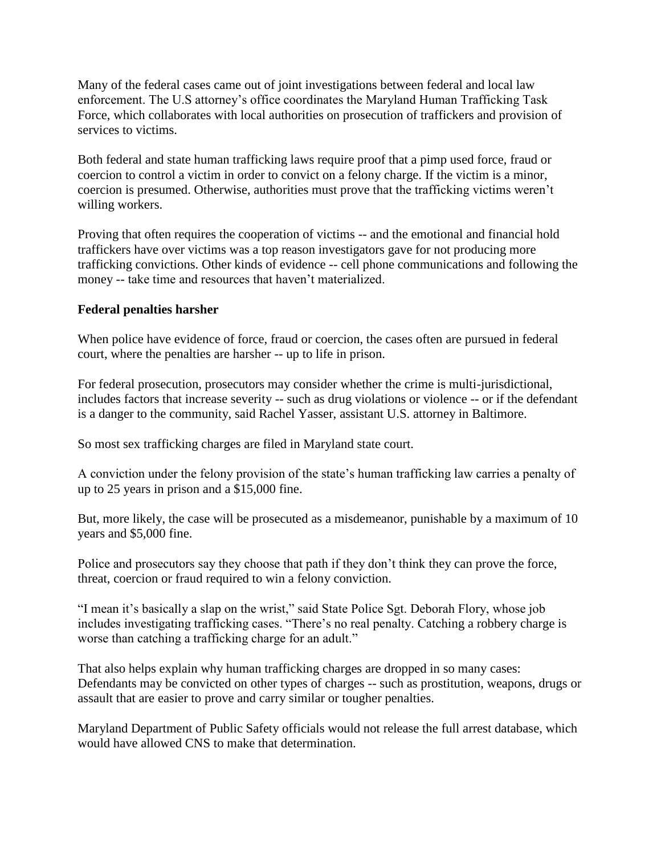Many of the federal cases came out of joint investigations between federal and local law enforcement. The U.S attorney's office coordinates the Maryland Human Trafficking Task Force, which collaborates with local authorities on prosecution of traffickers and provision of services to victims.

Both federal and state human trafficking laws require proof that a pimp used force, fraud or coercion to control a victim in order to convict on a felony charge. If the victim is a minor, coercion is presumed. Otherwise, authorities must prove that the trafficking victims weren't willing workers.

Proving that often requires the cooperation of victims -- and the emotional and financial hold traffickers have over victims was a top reason investigators gave for not producing more trafficking convictions. Other kinds of evidence -- cell phone communications and following the money -- take time and resources that haven't materialized.

## **Federal penalties harsher**

When police have evidence of force, fraud or coercion, the cases often are pursued in federal court, where the penalties are harsher -- up to life in prison.

For federal prosecution, prosecutors may consider whether the crime is multi-jurisdictional, includes factors that increase severity -- such as drug violations or violence -- or if the defendant is a danger to the community, said Rachel Yasser, assistant U.S. attorney in Baltimore.

So most sex trafficking charges are filed in Maryland state court.

A conviction under the felony provision of the state's human trafficking law carries a penalty of up to 25 years in prison and a \$15,000 fine.

But, more likely, the case will be prosecuted as a misdemeanor, punishable by a maximum of 10 years and \$5,000 fine.

Police and prosecutors say they choose that path if they don't think they can prove the force, threat, coercion or fraud required to win a felony conviction.

"I mean it's basically a slap on the wrist," said State Police Sgt. Deborah Flory, whose job includes investigating trafficking cases. "There's no real penalty. Catching a robbery charge is worse than catching a trafficking charge for an adult."

That also helps explain why human trafficking charges are dropped in so many cases: Defendants may be convicted on other types of charges -- such as prostitution, weapons, drugs or assault that are easier to prove and carry similar or tougher penalties.

Maryland Department of Public Safety officials would not release the full arrest database, which would have allowed CNS to make that determination.